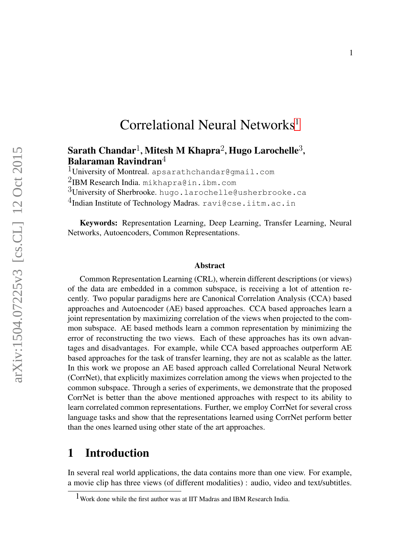# Correlational Neural Networks<sup>[1](#page-0-0)</sup>

## Sarath Chandar<sup>1</sup>, Mitesh M Khapra<sup>2</sup>, Hugo Larochelle<sup>3</sup>, Balaraman Ravindran $4$

 $1$ University of Montreal. apsarathchandar@gmail.com

2IBM Research India. mikhapra@in.ibm.com

 $3$ University of Sherbrooke. hugo.larochelle@usherbrooke.ca

 $4$ Indian Institute of Technology Madras. ravi@cse.iitm.ac.in

Keywords: Representation Learning, Deep Learning, Transfer Learning, Neural Networks, Autoencoders, Common Representations.

#### Abstract

Common Representation Learning (CRL), wherein different descriptions (or views) of the data are embedded in a common subspace, is receiving a lot of attention recently. Two popular paradigms here are Canonical Correlation Analysis (CCA) based approaches and Autoencoder (AE) based approaches. CCA based approaches learn a joint representation by maximizing correlation of the views when projected to the common subspace. AE based methods learn a common representation by minimizing the error of reconstructing the two views. Each of these approaches has its own advantages and disadvantages. For example, while CCA based approaches outperform AE based approaches for the task of transfer learning, they are not as scalable as the latter. In this work we propose an AE based approach called Correlational Neural Network (CorrNet), that explicitly maximizes correlation among the views when projected to the common subspace. Through a series of experiments, we demonstrate that the proposed CorrNet is better than the above mentioned approaches with respect to its ability to learn correlated common representations. Further, we employ CorrNet for several cross language tasks and show that the representations learned using CorrNet perform better than the ones learned using other state of the art approaches.

# 1 Introduction

In several real world applications, the data contains more than one view. For example, a movie clip has three views (of different modalities) : audio, video and text/subtitles.

<span id="page-0-0"></span><sup>&</sup>lt;sup>1</sup> Work done while the first author was at IIT Madras and IBM Research India.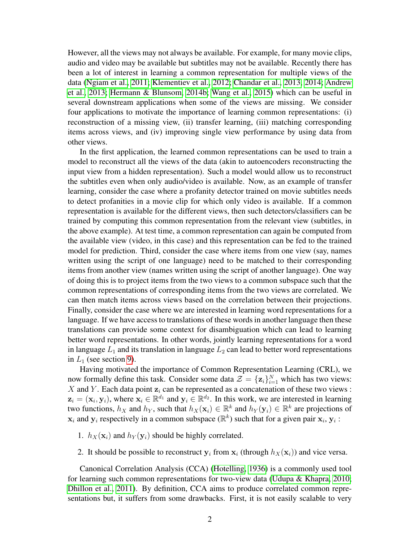However, all the views may not always be available. For example, for many movie clips, audio and video may be available but subtitles may not be available. Recently there has been a lot of interest in learning a common representation for multiple views of the data [\(Ngiam et al., 2011;](#page-26-0) [Klementiev et al., 2012;](#page-25-0) [Chandar et al., 2013,](#page-24-0) [2014;](#page-24-1) [Andrew](#page-24-2) [et al., 2013;](#page-24-2) [Hermann & Blunsom, 2014b;](#page-25-1) [Wang et al., 2015\)](#page-26-1) which can be useful in several downstream applications when some of the views are missing. We consider four applications to motivate the importance of learning common representations: (i) reconstruction of a missing view, (ii) transfer learning, (iii) matching corresponding items across views, and (iv) improving single view performance by using data from other views.

In the first application, the learned common representations can be used to train a model to reconstruct all the views of the data (akin to autoencoders reconstructing the input view from a hidden representation). Such a model would allow us to reconstruct the subtitles even when only audio/video is available. Now, as an example of transfer learning, consider the case where a profanity detector trained on movie subtitles needs to detect profanities in a movie clip for which only video is available. If a common representation is available for the different views, then such detectors/classifiers can be trained by computing this common representation from the relevant view (subtitles, in the above example). At test time, a common representation can again be computed from the available view (video, in this case) and this representation can be fed to the trained model for prediction. Third, consider the case where items from one view (say, names written using the script of one language) need to be matched to their corresponding items from another view (names written using the script of another language). One way of doing this is to project items from the two views to a common subspace such that the common representations of corresponding items from the two views are correlated. We can then match items across views based on the correlation between their projections. Finally, consider the case where we are interested in learning word representations for a language. If we have access to translations of these words in another language then these translations can provide some context for disambiguation which can lead to learning better word representations. In other words, jointly learning representations for a word in language  $L_1$  and its translation in language  $L_2$  can lead to better word representations in  $L_1$  (see section [9\)](#page-22-0).

Having motivated the importance of Common Representation Learning (CRL), we now formally define this task. Consider some data  $\mathcal{Z} = {\mathbf{z}_i}_{i=1}^N$  which has two views:  $X$  and  $Y$ . Each data point  $z_i$  can be represented as a concatenation of these two views :  $z_i = (x_i, y_i)$ , where  $x_i \in \mathbb{R}^{d_1}$  and  $y_i \in \mathbb{R}^{d_2}$ . In this work, we are interested in learning two functions,  $h_X$  and  $h_Y$ , such that  $h_X(\mathbf{x}_i) \in \mathbb{R}^k$  and  $h_Y(\mathbf{y}_i) \in \mathbb{R}^k$  are projections of  $x_i$  and  $y_i$  respectively in a common subspace ( $\mathbb{R}^k$ ) such that for a given pair  $x_i, y_i$ :

- 1.  $h_X(\mathbf{x}_i)$  and  $h_Y(\mathbf{y}_i)$  should be highly correlated.
- 2. It should be possible to reconstruct  $y_i$  from  $x_i$  (through  $h_X(x_i)$ ) and vice versa.

Canonical Correlation Analysis (CCA) [\(Hotelling, 1936\)](#page-25-2) is a commonly used tool for learning such common representations for two-view data [\(Udupa & Khapra, 2010;](#page-26-2) [Dhillon et al., 2011\)](#page-24-3). By definition, CCA aims to produce correlated common representations but, it suffers from some drawbacks. First, it is not easily scalable to very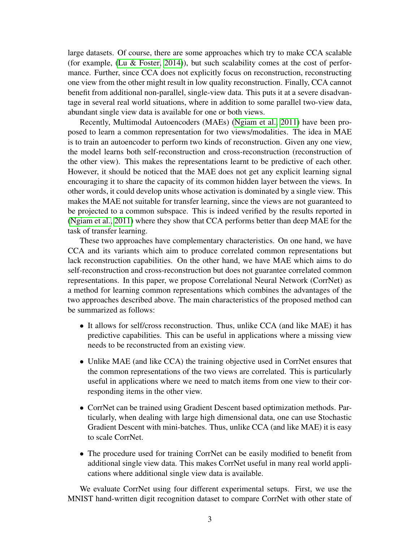large datasets. Of course, there are some approaches which try to make CCA scalable (for example, [\(Lu & Foster, 2014\)](#page-25-3)), but such scalability comes at the cost of performance. Further, since CCA does not explicitly focus on reconstruction, reconstructing one view from the other might result in low quality reconstruction. Finally, CCA cannot benefit from additional non-parallel, single-view data. This puts it at a severe disadvantage in several real world situations, where in addition to some parallel two-view data, abundant single view data is available for one or both views.

Recently, Multimodal Autoencoders (MAEs) [\(Ngiam et al., 2011\)](#page-26-0) have been proposed to learn a common representation for two views/modalities. The idea in MAE is to train an autoencoder to perform two kinds of reconstruction. Given any one view, the model learns both self-reconstruction and cross-reconstruction (reconstruction of the other view). This makes the representations learnt to be predictive of each other. However, it should be noticed that the MAE does not get any explicit learning signal encouraging it to share the capacity of its common hidden layer between the views. In other words, it could develop units whose activation is dominated by a single view. This makes the MAE not suitable for transfer learning, since the views are not guaranteed to be projected to a common subspace. This is indeed verified by the results reported in [\(Ngiam et al., 2011\)](#page-26-0) where they show that CCA performs better than deep MAE for the task of transfer learning.

These two approaches have complementary characteristics. On one hand, we have CCA and its variants which aim to produce correlated common representations but lack reconstruction capabilities. On the other hand, we have MAE which aims to do self-reconstruction and cross-reconstruction but does not guarantee correlated common representations. In this paper, we propose Correlational Neural Network (CorrNet) as a method for learning common representations which combines the advantages of the two approaches described above. The main characteristics of the proposed method can be summarized as follows:

- It allows for self/cross reconstruction. Thus, unlike CCA (and like MAE) it has predictive capabilities. This can be useful in applications where a missing view needs to be reconstructed from an existing view.
- Unlike MAE (and like CCA) the training objective used in CorrNet ensures that the common representations of the two views are correlated. This is particularly useful in applications where we need to match items from one view to their corresponding items in the other view.
- CorrNet can be trained using Gradient Descent based optimization methods. Particularly, when dealing with large high dimensional data, one can use Stochastic Gradient Descent with mini-batches. Thus, unlike CCA (and like MAE) it is easy to scale CorrNet.
- The procedure used for training CorrNet can be easily modified to benefit from additional single view data. This makes CorrNet useful in many real world applications where additional single view data is available.

We evaluate CorrNet using four different experimental setups. First, we use the MNIST hand-written digit recognition dataset to compare CorrNet with other state of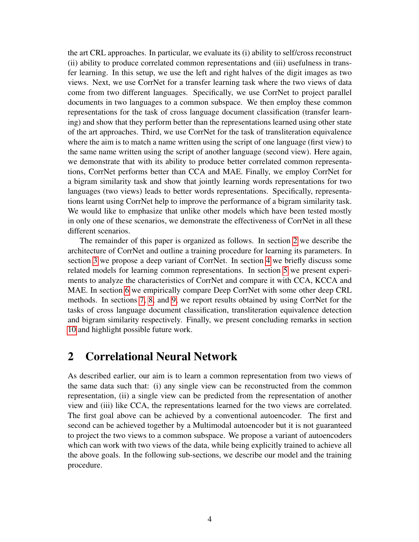the art CRL approaches. In particular, we evaluate its (i) ability to self/cross reconstruct (ii) ability to produce correlated common representations and (iii) usefulness in transfer learning. In this setup, we use the left and right halves of the digit images as two views. Next, we use CorrNet for a transfer learning task where the two views of data come from two different languages. Specifically, we use CorrNet to project parallel documents in two languages to a common subspace. We then employ these common representations for the task of cross language document classification (transfer learning) and show that they perform better than the representations learned using other state of the art approaches. Third, we use CorrNet for the task of transliteration equivalence where the aim is to match a name written using the script of one language (first view) to the same name written using the script of another language (second view). Here again, we demonstrate that with its ability to produce better correlated common representations, CorrNet performs better than CCA and MAE. Finally, we employ CorrNet for a bigram similarity task and show that jointly learning words representations for two languages (two views) leads to better words representations. Specifically, representations learnt using CorrNet help to improve the performance of a bigram similarity task. We would like to emphasize that unlike other models which have been tested mostly in only one of these scenarios, we demonstrate the effectiveness of CorrNet in all these different scenarios.

The remainder of this paper is organized as follows. In section [2](#page-3-0) we describe the architecture of CorrNet and outline a training procedure for learning its parameters. In section [3](#page-6-0) we propose a deep variant of CorrNet. In section [4](#page-8-0) we briefly discuss some related models for learning common representations. In section [5](#page-9-0) we present experiments to analyze the characteristics of CorrNet and compare it with CCA, KCCA and MAE. In section [6](#page-14-0) we empirically compare Deep CorrNet with some other deep CRL methods. In sections [7,](#page-15-0) [8,](#page-21-0) and [9,](#page-22-0) we report results obtained by using CorrNet for the tasks of cross language document classification, transliteration equivalence detection and bigram similarity respectively. Finally, we present concluding remarks in section [10](#page-23-0) and highlight possible future work.

## <span id="page-3-0"></span>2 Correlational Neural Network

As described earlier, our aim is to learn a common representation from two views of the same data such that: (i) any single view can be reconstructed from the common representation, (ii) a single view can be predicted from the representation of another view and (iii) like CCA, the representations learned for the two views are correlated. The first goal above can be achieved by a conventional autoencoder. The first and second can be achieved together by a Multimodal autoencoder but it is not guaranteed to project the two views to a common subspace. We propose a variant of autoencoders which can work with two views of the data, while being explicitly trained to achieve all the above goals. In the following sub-sections, we describe our model and the training procedure.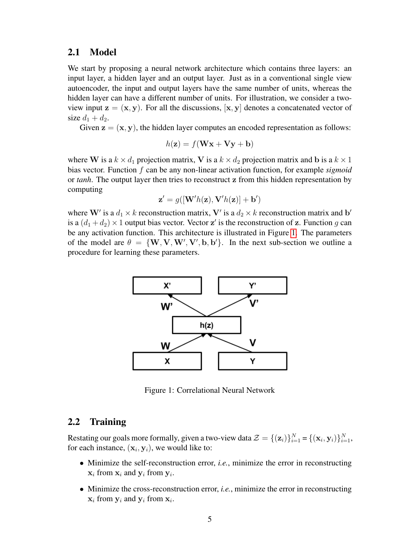#### 2.1 Model

We start by proposing a neural network architecture which contains three layers: an input layer, a hidden layer and an output layer. Just as in a conventional single view autoencoder, the input and output layers have the same number of units, whereas the hidden layer can have a different number of units. For illustration, we consider a twoview input  $z = (x, y)$ . For all the discussions,  $[x, y]$  denotes a concatenated vector of size  $d_1 + d_2$ .

Given  $z = (x, y)$ , the hidden layer computes an encoded representation as follows:

$$
h(\mathbf{z}) = f(\mathbf{W}\mathbf{x} + \mathbf{V}\mathbf{y} + \mathbf{b})
$$

where W is a  $k \times d_1$  projection matrix, V is a  $k \times d_2$  projection matrix and b is a  $k \times 1$ bias vector. Function f can be any non-linear activation function, for example *sigmoid* or *tanh*. The output layer then tries to reconstruct z from this hidden representation by computing

$$
\mathbf{z}' = g([\mathbf{W}'h(\mathbf{z}), \mathbf{V}'h(\mathbf{z})] + \mathbf{b}')
$$

where W' is a  $d_1 \times k$  reconstruction matrix, V' is a  $d_2 \times k$  reconstruction matrix and b' is a  $(d_1 + d_2) \times 1$  output bias vector. Vector z' is the reconstruction of z. Function g can be any activation function. This architecture is illustrated in Figure [1.](#page-4-0) The parameters of the model are  $\theta = \{W, V, W', V', b, b'\}$ . In the next sub-section we outline a procedure for learning these parameters.



<span id="page-4-0"></span>Figure 1: Correlational Neural Network

#### <span id="page-4-1"></span>2.2 Training

Restating our goals more formally, given a two-view data  $\mathcal{Z} = \{(\mathbf{z}_i)\}_{i=1}^N = \{(\mathbf{x}_i, \mathbf{y}_i)\}_{i=1}^N$ , for each instance,  $(\mathbf{x}_i, \mathbf{y}_i)$ , we would like to:

- Minimize the self-reconstruction error, *i.e.*, minimize the error in reconstructing  $\mathbf{x}_i$  from  $\mathbf{x}_i$  and  $\mathbf{y}_i$  from  $\mathbf{y}_i$ .
- Minimize the cross-reconstruction error, *i.e.*, minimize the error in reconstructing  $x_i$  from  $y_i$  and  $y_i$  from  $x_i$ .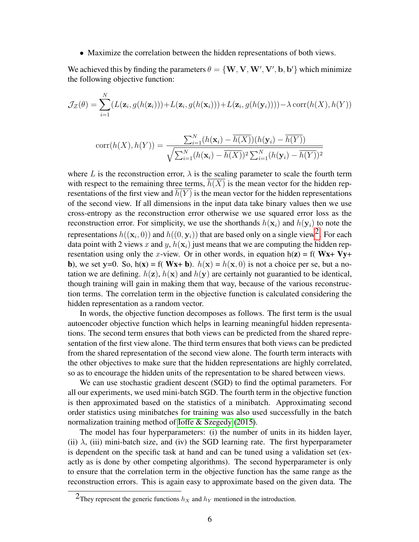• Maximize the correlation between the hidden representations of both views.

We achieved this by finding the parameters  $\theta = \{W, V, W', V', b, b'\}$  which minimize the following objective function:

$$
\mathcal{J}_{\mathcal{Z}}(\theta) = \sum_{i=1}^{N} (L(\mathbf{z}_i, g(h(\mathbf{z}_i))) + L(\mathbf{z}_i, g(h(\mathbf{x}_i))) + L(\mathbf{z}_i, g(h(\mathbf{y}_i)))) - \lambda \operatorname{corr}(h(X), h(Y))
$$

$$
corr(h(X), h(Y)) = \frac{\sum_{i=1}^{N} (h(\mathbf{x}_i) - \overline{h(X)})(h(\mathbf{y}_i) - \overline{h(Y)})}{\sqrt{\sum_{i=1}^{N} (h(\mathbf{x}_i) - \overline{h(X)})^2 \sum_{i=1}^{N} (h(\mathbf{y}_i) - \overline{h(Y)})^2}}
$$

where L is the reconstruction error,  $\lambda$  is the scaling parameter to scale the fourth term with respect to the remaining three terms,  $h(X)$  is the mean vector for the hidden representations of the first view and  $\overline{h(Y)}$  is the mean vector for the hidden representations of the second view. If all dimensions in the input data take binary values then we use cross-entropy as the reconstruction error otherwise we use squared error loss as the reconstruction error. For simplicity, we use the shorthands  $h(\mathbf{x}_i)$  and  $h(\mathbf{y}_i)$  to note the representations  $h((\mathbf{x}_i, 0))$  and  $h((0, \mathbf{y}_i))$  that are based only on a single view<sup>2</sup>. For each data point with 2 views x and y,  $h(\mathbf{x}_i)$  just means that we are computing the hidden representation using only the x-view. Or in other words, in equation  $h(z) = f(Wx + Vy +$ b), we set y=0. So, h(x) = f( Wx+ b).  $h(x) = h(x, 0)$  is not a choice per se, but a notation we are defining.  $h(z)$ ,  $h(x)$  and  $h(y)$  are certainly not guarantied to be identical, though training will gain in making them that way, because of the various reconstruction terms. The correlation term in the objective function is calculated considering the hidden representation as a random vector.

In words, the objective function decomposes as follows. The first term is the usual autoencoder objective function which helps in learning meaningful hidden representations. The second term ensures that both views can be predicted from the shared representation of the first view alone. The third term ensures that both views can be predicted from the shared representation of the second view alone. The fourth term interacts with the other objectives to make sure that the hidden representations are highly correlated, so as to encourage the hidden units of the representation to be shared between views.

We can use stochastic gradient descent (SGD) to find the optimal parameters. For all our experiments, we used mini-batch SGD. The fourth term in the objective function is then approximated based on the statistics of a minibatch. Approximating second order statistics using minibatches for training was also used successfully in the batch normalization training method of [Ioffe & Szegedy](#page-25-4) [\(2015\)](#page-25-4).

The model has four hyperparameters: (i) the number of units in its hidden layer, (ii)  $\lambda$ , (iii) mini-batch size, and (iv) the SGD learning rate. The first hyperparameter is dependent on the specific task at hand and can be tuned using a validation set (exactly as is done by other competing algorithms). The second hyperparameter is only to ensure that the correlation term in the objective function has the same range as the reconstruction errors. This is again easy to approximate based on the given data. The

<span id="page-5-0"></span><sup>&</sup>lt;sup>2</sup>They represent the generic functions  $h_X$  and  $h_Y$  mentioned in the introduction.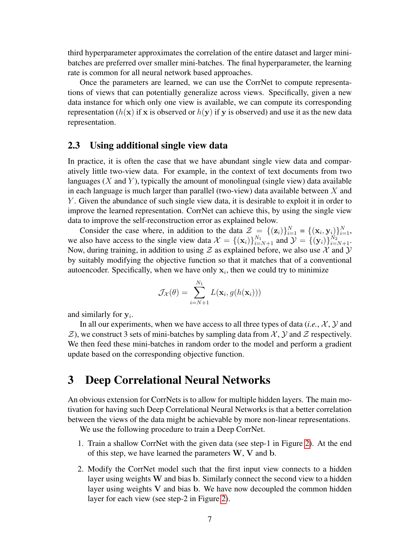third hyperparameter approximates the correlation of the entire dataset and larger minibatches are preferred over smaller mini-batches. The final hyperparameter, the learning rate is common for all neural network based approaches.

Once the parameters are learned, we can use the CorrNet to compute representations of views that can potentially generalize across views. Specifically, given a new data instance for which only one view is available, we can compute its corresponding representation ( $h(x)$ ) if x is observed or  $h(y)$ ) if y is observed) and use it as the new data representation.

#### <span id="page-6-1"></span>2.3 Using additional single view data

In practice, it is often the case that we have abundant single view data and comparatively little two-view data. For example, in the context of text documents from two languages  $(X \text{ and } Y)$ , typically the amount of monolingual (single view) data available in each language is much larger than parallel (two-view) data available between  $X$  and Y . Given the abundance of such single view data, it is desirable to exploit it in order to improve the learned representation. CorrNet can achieve this, by using the single view data to improve the self-reconstruction error as explained below.

Consider the case where, in addition to the data  $\mathcal{Z} = \{(\mathbf{z}_i)\}_{i=1}^N = \{(\mathbf{x}_i, \mathbf{y}_i)\}_{i=1}^N$ , we also have access to the single view data  $\mathcal{X} = \{(\mathbf{x}_i)\}_{i=N+1}^{N_1}$  and  $\mathcal{Y} = \{(\mathbf{y}_i)\}_{i=N+1}^{N_2}$ . Now, during training, in addition to using  $\mathcal Z$  as explained before, we also use  $\mathcal X$  and  $\mathcal Y$ by suitably modifying the objective function so that it matches that of a conventional autoencoder. Specifically, when we have only  $x_i$ , then we could try to minimize

$$
\mathcal{J}_{\mathcal{X}}(\theta) = \sum_{i=N+1}^{N_1} L(\mathbf{x}_i, g(h(\mathbf{x}_i)))
$$

and similarly for  $y_i$ .

In all our experiments, when we have access to all three types of data  $(i.e., X, Y)$  and  $\mathcal{Z}$ ), we construct 3 sets of mini-batches by sampling data from  $\mathcal{X}, \mathcal{Y}$  and  $\mathcal{Z}$  respectively. We then feed these mini-batches in random order to the model and perform a gradient update based on the corresponding objective function.

# <span id="page-6-0"></span>3 Deep Correlational Neural Networks

An obvious extension for CorrNets is to allow for multiple hidden layers. The main motivation for having such Deep Correlational Neural Networks is that a better correlation between the views of the data might be achievable by more non-linear representations.

We use the following procedure to train a Deep CorrNet.

- 1. Train a shallow CorrNet with the given data (see step-1 in Figure [2\)](#page-7-0). At the end of this step, we have learned the parameters  $W$ ,  $V$  and  $b$ .
- 2. Modify the CorrNet model such that the first input view connects to a hidden layer using weights W and bias b. Similarly connect the second view to a hidden layer using weights  $V$  and bias  $b$ . We have now decoupled the common hidden layer for each view (see step-2 in Figure [2\)](#page-7-0).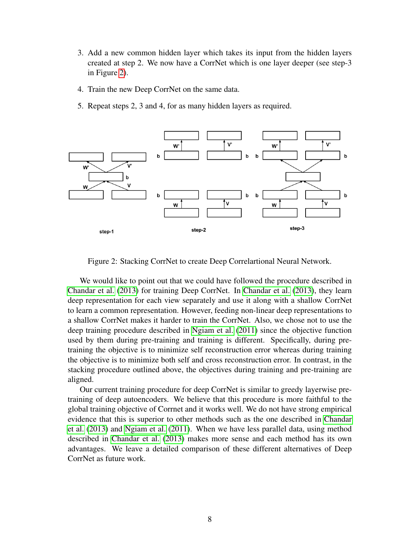- 3. Add a new common hidden layer which takes its input from the hidden layers created at step 2. We now have a CorrNet which is one layer deeper (see step-3 in Figure [2\)](#page-7-0).
- 4. Train the new Deep CorrNet on the same data.
- 5. Repeat steps 2, 3 and 4, for as many hidden layers as required.



<span id="page-7-0"></span>Figure 2: Stacking CorrNet to create Deep Correlartional Neural Network.

We would like to point out that we could have followed the procedure described in [Chandar et al.](#page-24-0) [\(2013\)](#page-24-0) for training Deep CorrNet. In [Chandar et al.](#page-24-0) [\(2013\)](#page-24-0), they learn deep representation for each view separately and use it along with a shallow CorrNet to learn a common representation. However, feeding non-linear deep representations to a shallow CorrNet makes it harder to train the CorrNet. Also, we chose not to use the deep training procedure described in [Ngiam et al.](#page-26-0) [\(2011\)](#page-26-0) since the objective function used by them during pre-training and training is different. Specifically, during pretraining the objective is to minimize self reconstruction error whereas during training the objective is to minimize both self and cross reconstruction error. In contrast, in the stacking procedure outlined above, the objectives during training and pre-training are aligned.

Our current training procedure for deep CorrNet is similar to greedy layerwise pretraining of deep autoencoders. We believe that this procedure is more faithful to the global training objective of Corrnet and it works well. We do not have strong empirical evidence that this is superior to other methods such as the one described in [Chandar](#page-24-0) [et al.](#page-24-0) [\(2013\)](#page-24-0) and [Ngiam et al.](#page-26-0) [\(2011\)](#page-26-0). When we have less parallel data, using method described in [Chandar et al.](#page-24-0) [\(2013\)](#page-24-0) makes more sense and each method has its own advantages. We leave a detailed comparison of these different alternatives of Deep CorrNet as future work.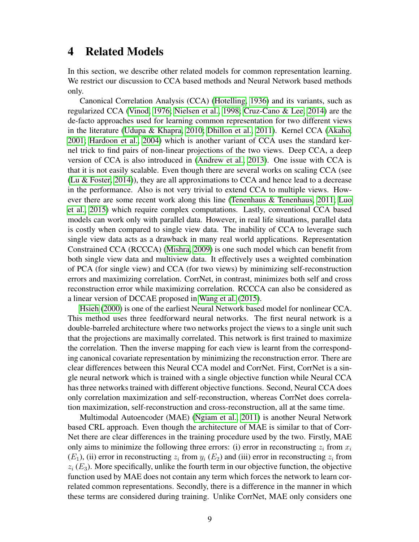## <span id="page-8-0"></span>4 Related Models

In this section, we describe other related models for common representation learning. We restrict our discussion to CCA based methods and Neural Network based methods only.

Canonical Correlation Analysis (CCA) [\(Hotelling, 1936\)](#page-25-2) and its variants, such as regularized CCA [\(Vinod, 1976;](#page-26-3) [Nielsen et al., 1998;](#page-26-4) [Cruz-Cano & Lee, 2014\)](#page-24-4) are the de-facto approaches used for learning common representation for two different views in the literature [\(Udupa & Khapra, 2010;](#page-26-2) [Dhillon et al., 2011\)](#page-24-3). Kernel CCA [\(Akaho,](#page-24-5) [2001;](#page-24-5) [Hardoon et al., 2004\)](#page-24-6) which is another variant of CCA uses the standard kernel trick to find pairs of non-linear projections of the two views. Deep CCA, a deep version of CCA is also introduced in [\(Andrew et al., 2013\)](#page-24-2). One issue with CCA is that it is not easily scalable. Even though there are several works on scaling CCA (see [\(Lu & Foster, 2014\)](#page-25-3)), they are all approximations to CCA and hence lead to a decrease in the performance. Also is not very trivial to extend CCA to multiple views. However there are some recent work along this line [\(Tenenhaus & Tenenhaus, 2011;](#page-26-5) [Luo](#page-25-5) [et al., 2015\)](#page-25-5) which require complex computations. Lastly, conventional CCA based models can work only with parallel data. However, in real life situations, parallel data is costly when compared to single view data. The inability of CCA to leverage such single view data acts as a drawback in many real world applications. Representation Constrained CCA (RCCCA) [\(Mishra, 2009\)](#page-25-6) is one such model which can benefit from both single view data and multiview data. It effectively uses a weighted combination of PCA (for single view) and CCA (for two views) by minimizing self-reconstruction errors and maximizing correlation. CorrNet, in contrast, minimizes both self and cross reconstruction error while maximizing correlation. RCCCA can also be considered as a linear version of DCCAE proposed in [Wang et al.](#page-26-1) [\(2015\)](#page-26-1).

[Hsieh](#page-25-7) [\(2000\)](#page-25-7) is one of the earliest Neural Network based model for nonlinear CCA. This method uses three feedforward neural networks. The first neural network is a double-barreled architecture where two networks project the views to a single unit such that the projections are maximally correlated. This network is first trained to maximize the correlation. Then the inverse mapping for each view is learnt from the corresponding canonical covariate representation by minimizing the reconstruction error. There are clear differences between this Neural CCA model and CorrNet. First, CorrNet is a single neural network which is trained with a single objective function while Neural CCA has three networks trained with different objective functions. Second, Neural CCA does only correlation maximization and self-reconstruction, whereas CorrNet does correlation maximization, self-reconstruction and cross-reconstruction, all at the same time.

Multimodal Autoencoder (MAE) [\(Ngiam et al., 2011\)](#page-26-0) is another Neural Network based CRL approach. Even though the architecture of MAE is similar to that of Corr-Net there are clear differences in the training procedure used by the two. Firstly, MAE only aims to minimize the following three errors: (i) error in reconstructing  $z_i$  from  $x_i$  $(E_1)$ , (ii) error in reconstructing  $z_i$  from  $y_i$  ( $E_2$ ) and (iii) error in reconstructing  $z_i$  from  $z_i$  ( $E_3$ ). More specifically, unlike the fourth term in our objective function, the objective function used by MAE does not contain any term which forces the network to learn correlated common representations. Secondly, there is a difference in the manner in which these terms are considered during training. Unlike CorrNet, MAE only considers one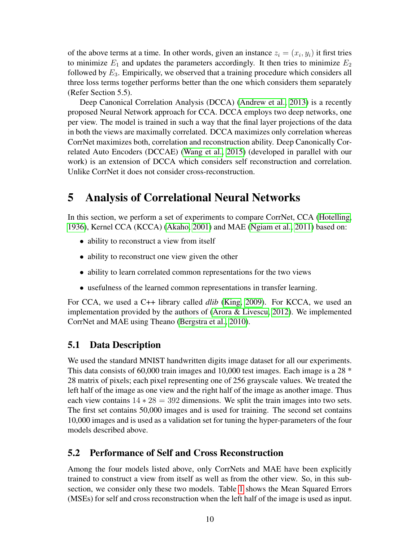of the above terms at a time. In other words, given an instance  $z_i = (x_i, y_i)$  it first tries to minimize  $E_1$  and updates the parameters accordingly. It then tries to minimize  $E_2$ followed by  $E_3$ . Empirically, we observed that a training procedure which considers all three loss terms together performs better than the one which considers them separately (Refer Section 5.5).

Deep Canonical Correlation Analysis (DCCA) [\(Andrew et al., 2013\)](#page-24-2) is a recently proposed Neural Network approach for CCA. DCCA employs two deep networks, one per view. The model is trained in such a way that the final layer projections of the data in both the views are maximally correlated. DCCA maximizes only correlation whereas CorrNet maximizes both, correlation and reconstruction ability. Deep Canonically Correlated Auto Encoders (DCCAE) [\(Wang et al., 2015\)](#page-26-1) (developed in parallel with our work) is an extension of DCCA which considers self reconstruction and correlation. Unlike CorrNet it does not consider cross-reconstruction.

# <span id="page-9-0"></span>5 Analysis of Correlational Neural Networks

In this section, we perform a set of experiments to compare CorrNet, CCA [\(Hotelling,](#page-25-2) [1936\)](#page-25-2), Kernel CCA (KCCA) [\(Akaho, 2001\)](#page-24-5) and MAE [\(Ngiam et al., 2011\)](#page-26-0) based on:

- ability to reconstruct a view from itself
- ability to reconstruct one view given the other
- ability to learn correlated common representations for the two views
- usefulness of the learned common representations in transfer learning.

For CCA, we used a C++ library called *dlib* [\(King, 2009\)](#page-25-8). For KCCA, we used an implementation provided by the authors of [\(Arora & Livescu, 2012\)](#page-24-7). We implemented CorrNet and MAE using Theano [\(Bergstra et al., 2010\)](#page-24-8).

### <span id="page-9-1"></span>5.1 Data Description

We used the standard MNIST handwritten digits image dataset for all our experiments. This data consists of 60,000 train images and 10,000 test images. Each image is a 28  $*$ 28 matrix of pixels; each pixel representing one of 256 grayscale values. We treated the left half of the image as one view and the right half of the image as another image. Thus each view contains  $14 \times 28 = 392$  dimensions. We split the train images into two sets. The first set contains 50,000 images and is used for training. The second set contains 10,000 images and is used as a validation set for tuning the hyper-parameters of the four models described above.

## 5.2 Performance of Self and Cross Reconstruction

Among the four models listed above, only CorrNets and MAE have been explicitly trained to construct a view from itself as well as from the other view. So, in this subsection, we consider only these two models. Table [1](#page-10-0) shows the Mean Squared Errors (MSEs) for self and cross reconstruction when the left half of the image is used as input.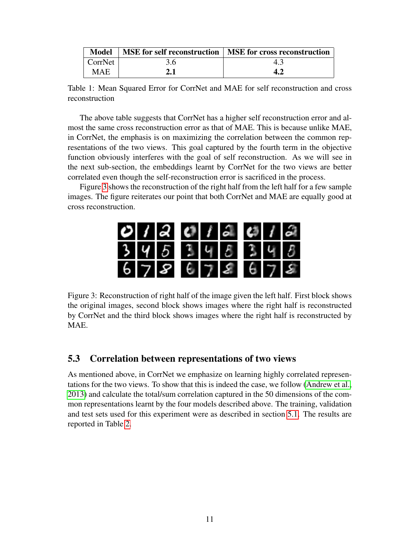<span id="page-10-0"></span>

| <b>Model</b> |     | MSE for self reconstruction   MSE for cross reconstruction |
|--------------|-----|------------------------------------------------------------|
| CorrNet      | 3.6 |                                                            |
| MAE          | 2.1 |                                                            |

Table 1: Mean Squared Error for CorrNet and MAE for self reconstruction and cross reconstruction

The above table suggests that CorrNet has a higher self reconstruction error and almost the same cross reconstruction error as that of MAE. This is because unlike MAE, in CorrNet, the emphasis is on maximizing the correlation between the common representations of the two views. This goal captured by the fourth term in the objective function obviously interferes with the goal of self reconstruction. As we will see in the next sub-section, the embeddings learnt by CorrNet for the two views are better correlated even though the self-reconstruction error is sacrificed in the process.

Figure [3](#page-10-1) shows the reconstruction of the right half from the left half for a few sample images. The figure reiterates our point that both CorrNet and MAE are equally good at cross reconstruction.

<span id="page-10-1"></span>

|  | 012012                              |  |  |  |
|--|-------------------------------------|--|--|--|
|  | $3$ $4$ $5$ $3$ $4$ $8$ $3$ $4$ $8$ |  |  |  |
|  | 678678678                           |  |  |  |

Figure 3: Reconstruction of right half of the image given the left half. First block shows the original images, second block shows images where the right half is reconstructed by CorrNet and the third block shows images where the right half is reconstructed by MAE.

### 5.3 Correlation between representations of two views

As mentioned above, in CorrNet we emphasize on learning highly correlated representations for the two views. To show that this is indeed the case, we follow [\(Andrew et al.,](#page-24-2) [2013\)](#page-24-2) and calculate the total/sum correlation captured in the 50 dimensions of the common representations learnt by the four models described above. The training, validation and test sets used for this experiment were as described in section [5.1.](#page-9-1) The results are reported in Table [2.](#page-11-0)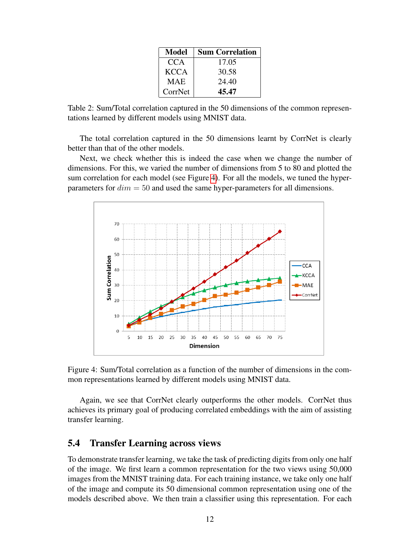| Model       | <b>Sum Correlation</b> |
|-------------|------------------------|
| CCA         | 17.05                  |
| <b>KCCA</b> | 30.58                  |
| <b>MAE</b>  | 24.40                  |
| CorrNet     | 45.47                  |

<span id="page-11-0"></span>Table 2: Sum/Total correlation captured in the 50 dimensions of the common representations learned by different models using MNIST data.

The total correlation captured in the 50 dimensions learnt by CorrNet is clearly better than that of the other models.

Next, we check whether this is indeed the case when we change the number of dimensions. For this, we varied the number of dimensions from 5 to 80 and plotted the sum correlation for each model (see Figure [4\)](#page-11-1). For all the models, we tuned the hyperparameters for  $dim = 50$  and used the same hyper-parameters for all dimensions.





<span id="page-11-1"></span>Again, we see that CorrNet clearly outperforms the other models. CorrNet thus achieves its primary goal of producing correlated embeddings with the aim of assisting transfer learning.

### 5.4 Transfer Learning across views

To demonstrate transfer learning, we take the task of predicting digits from only one half of the image. We first learn a common representation for the two views using 50,000 images from the MNIST training data. For each training instance, we take only one half of the image and compute its 50 dimensional common representation using one of the models described above. We then train a classifier using this representation. For each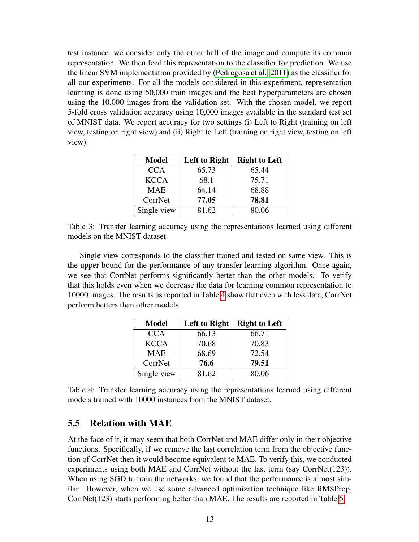test instance, we consider only the other half of the image and compute its common representation. We then feed this representation to the classifier for prediction. We use the linear SVM implementation provided by [\(Pedregosa et al., 2011\)](#page-26-6) as the classifier for all our experiments. For all the models considered in this experiment, representation learning is done using 50,000 train images and the best hyperparameters are chosen using the 10,000 images from the validation set. With the chosen model, we report 5-fold cross validation accuracy using 10,000 images available in the standard test set of MNIST data. We report accuracy for two settings (i) Left to Right (training on left view, testing on right view) and (ii) Right to Left (training on right view, testing on left view).

| <b>Model</b> | Left to Right | <b>Right to Left</b> |
|--------------|---------------|----------------------|
| <b>CCA</b>   | 65.73         | 65.44                |
| <b>KCCA</b>  | 68.1          | 75.71                |
| <b>MAE</b>   | 64.14         | 68.88                |
| CorrNet      | 77.05         | 78.81                |
| Single view  | 81.62         | 80.06                |

Table 3: Transfer learning accuracy using the representations learned using different models on the MNIST dataset.

Single view corresponds to the classifier trained and tested on same view. This is the upper bound for the performance of any transfer learning algorithm. Once again, we see that CorrNet performs significantly better than the other models. To verify that this holds even when we decrease the data for learning common representation to 10000 images. The results as reported in Table [4](#page-12-0) show that even with less data, CorrNet perform betters than other models.

| <b>Model</b> | Left to Right | <b>Right to Left</b> |
|--------------|---------------|----------------------|
| <b>CCA</b>   | 66.13         | 66.71                |
| <b>KCCA</b>  | 70.68         | 70.83                |
| <b>MAE</b>   | 68.69         | 72.54                |
| CorrNet      | 76.6          | 79.51                |
| Single view  | 81.62         | 80.06                |

<span id="page-12-0"></span>Table 4: Transfer learning accuracy using the representations learned using different models trained with 10000 instances from the MNIST dataset.

### 5.5 Relation with MAE

At the face of it, it may seem that both CorrNet and MAE differ only in their objective functions. Specifically, if we remove the last correlation term from the objective function of CorrNet then it would become equivalent to MAE. To verify this, we conducted experiments using both MAE and CorrNet without the last term (say CorrNet(123)). When using SGD to train the networks, we found that the performance is almost similar. However, when we use some advanced optimization technique like RMSProp, CorrNet(123) starts performing better than MAE. The results are reported in Table [5.](#page-13-0)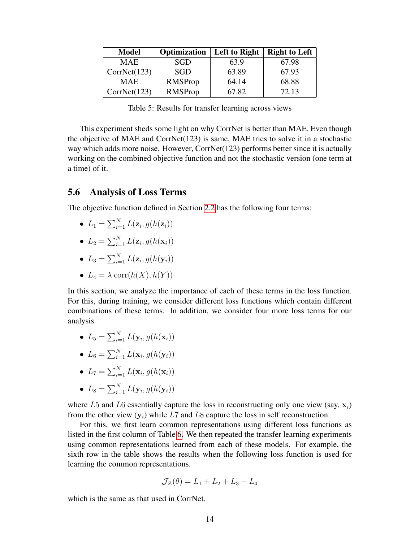| <b>Model</b> | Optimization | Left to Right | <b>Right to Left</b> |
|--------------|--------------|---------------|----------------------|
| <b>MAE</b>   | SGD          | 63.9          | 67.98                |
| CorrNet(123) | <b>SGD</b>   | 63.89         | 67.93                |
| <b>MAE</b>   | RMSProp      | 64.14         | 68.88                |
| CorrNet(123) | RMSProp      | 67.82         | 72.13                |

Table 5: Results for transfer learning across views

<span id="page-13-0"></span>This experiment sheds some light on why CorrNet is better than MAE. Even though the objective of MAE and CorrNet $(123)$  is same, MAE tries to solve it in a stochastic way which adds more noise. However, CorrNet(123) performs better since it is actually working on the combined objective function and not the stochastic version (one term at a time) of it.

#### 5.6 Analysis of Loss Terms

The objective function defined in Section [2.2](#page-4-1) has the following four terms:

•  $L_1 = \sum_{i=1}^{N} L(\mathbf{z}_i, g(h(\mathbf{z}_i)))$ 

• 
$$
L_2 = \sum_{i=1}^N L(\mathbf{z}_i, g(h(\mathbf{x}_i)))
$$

• 
$$
L_3 = \sum_{i=1}^N L(\mathbf{z}_i, g(h(\mathbf{y}_i)))
$$

•  $L_4 = \lambda \text{ corr}(h(X), h(Y))$ 

In this section, we analyze the importance of each of these terms in the loss function. For this, during training, we consider different loss functions which contain different combinations of these terms. In addition, we consider four more loss terms for our analysis.

- $L_5 = \sum_{i=1}^{N} L(\mathbf{y}_i, g(h(\mathbf{x}_i)))$
- $L_6 = \sum_{i=1}^{N} L(\mathbf{x}_i, g(h(\mathbf{y}_i)))$
- $L_7 = \sum_{i=1}^{N} L(\mathbf{x}_i, g(h(\mathbf{x}_i)))$
- $L_8 = \sum_{i=1}^{N} L(\mathbf{y}_i, g(h(\mathbf{y}_i)))$

where L5 and L6 essentially capture the loss in reconstructing only one view (say,  $x_i$ ) from the other view  $(y_i)$  while L7 and L8 capture the loss in self reconstruction.

For this, we first learn common representations using different loss functions as listed in the first column of Table [6.](#page-14-1) We then repeated the transfer learning experiments using common representations learned from each of these models. For example, the sixth row in the table shows the results when the following loss function is used for learning the common representations.

$$
\mathcal{J}_{\mathcal{Z}}(\theta) = L_1 + L_2 + L_3 + L_4
$$

which is the same as that used in CorrNet.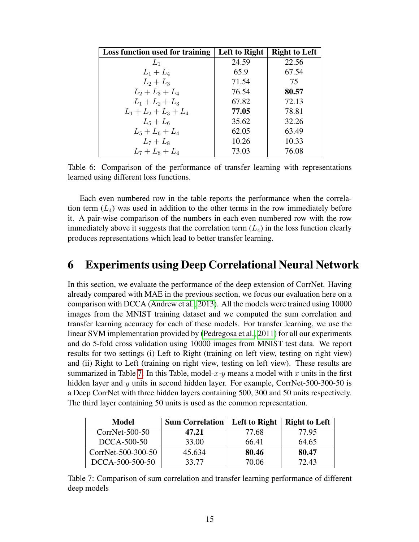| Loss function used for training | Left to Right | <b>Right to Left</b> |
|---------------------------------|---------------|----------------------|
| $L_1$                           | 24.59         | 22.56                |
| $L_1 + L_4$                     | 65.9          | 67.54                |
| $L_2 + L_3$                     | 71.54         | 75                   |
| $L_2 + L_3 + L_4$               | 76.54         | 80.57                |
| $L_1 + L_2 + L_3$               | 67.82         | 72.13                |
| $L_1 + L_2 + L_3 + L_4$         | 77.05         | 78.81                |
| $L_5 + L_6$                     | 35.62         | 32.26                |
| $L_5 + L_6 + L_4$               | 62.05         | 63.49                |
| $L_7 + L_8$                     | 10.26         | 10.33                |
| $L_7 + L_8 + L_4$               | 73.03         | 76.08                |

<span id="page-14-1"></span>Table 6: Comparison of the performance of transfer learning with representations learned using different loss functions.

Each even numbered row in the table reports the performance when the correlation term  $(L_4)$  was used in addition to the other terms in the row immediately before it. A pair-wise comparison of the numbers in each even numbered row with the row immediately above it suggests that the correlation term  $(L_4)$  in the loss function clearly produces representations which lead to better transfer learning.

# <span id="page-14-0"></span>6 Experiments using Deep Correlational Neural Network

In this section, we evaluate the performance of the deep extension of CorrNet. Having already compared with MAE in the previous section, we focus our evaluation here on a comparison with DCCA [\(Andrew et al., 2013\)](#page-24-2). All the models were trained using 10000 images from the MNIST training dataset and we computed the sum correlation and transfer learning accuracy for each of these models. For transfer learning, we use the linear SVM implementation provided by [\(Pedregosa et al., 2011\)](#page-26-6) for all our experiments and do 5-fold cross validation using 10000 images from MNIST test data. We report results for two settings (i) Left to Right (training on left view, testing on right view) and (ii) Right to Left (training on right view, testing on left view). These results are summarized in Table [7.](#page-14-2) In this Table, model- $x-y$  means a model with x units in the first hidden layer and y units in second hidden layer. For example, CorrNet-500-300-50 is a Deep CorrNet with three hidden layers containing 500, 300 and 50 units respectively. The third layer containing 50 units is used as the common representation.

| <b>Model</b>       | <b>Sum Correlation</b> | Left to Right | <b>Right to Left</b> |
|--------------------|------------------------|---------------|----------------------|
| $CorrNet-500-50$   | 47.21                  | 77.68         | 77.95                |
| DCCA-500-50        | 33.00                  | 66.41         | 64.65                |
| CorrNet-500-300-50 | 45.634                 | 80.46         | 80.47                |
| DCCA-500-500-50    | 33.77                  | 70.06         | 72.43                |

<span id="page-14-2"></span>Table 7: Comparison of sum correlation and transfer learning performance of different deep models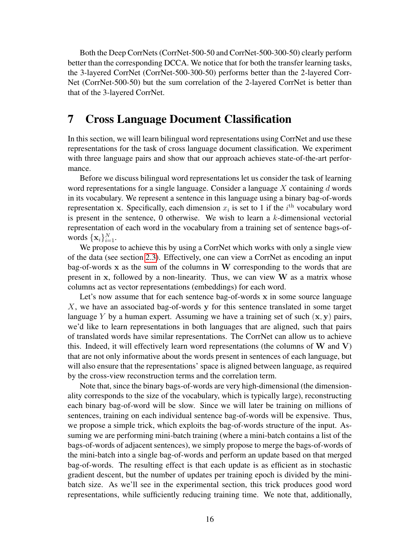Both the Deep CorrNets (CorrNet-500-50 and CorrNet-500-300-50) clearly perform better than the corresponding DCCA. We notice that for both the transfer learning tasks, the 3-layered CorrNet (CorrNet-500-300-50) performs better than the 2-layered Corr-Net (CorrNet-500-50) but the sum correlation of the 2-layered CorrNet is better than that of the 3-layered CorrNet.

# <span id="page-15-0"></span>7 Cross Language Document Classification

In this section, we will learn bilingual word representations using CorrNet and use these representations for the task of cross language document classification. We experiment with three language pairs and show that our approach achieves state-of-the-art performance.

Before we discuss bilingual word representations let us consider the task of learning word representations for a single language. Consider a language  $X$  containing  $d$  words in its vocabulary. We represent a sentence in this language using a binary bag-of-words representation x. Specifically, each dimension  $x_i$  is set to 1 if the  $i<sup>th</sup>$  vocabulary word is present in the sentence,  $0$  otherwise. We wish to learn a  $k$ -dimensional vectorial representation of each word in the vocabulary from a training set of sentence bags-ofwords  $\{\mathbf x_i\}_{i=1}^N$ .

We propose to achieve this by using a CorrNet which works with only a single view of the data (see section [2.3\)](#page-6-1). Effectively, one can view a CorrNet as encoding an input bag-of-words x as the sum of the columns in W corresponding to the words that are present in x, followed by a non-linearity. Thus, we can view  $W$  as a matrix whose columns act as vector representations (embeddings) for each word.

Let's now assume that for each sentence bag-of-words x in some source language X, we have an associated bag-of-words y for this sentence translated in some target language Y by a human expert. Assuming we have a training set of such  $(x, y)$  pairs, we'd like to learn representations in both languages that are aligned, such that pairs of translated words have similar representations. The CorrNet can allow us to achieve this. Indeed, it will effectively learn word representations (the columns of  $W$  and  $V$ ) that are not only informative about the words present in sentences of each language, but will also ensure that the representations' space is aligned between language, as required by the cross-view reconstruction terms and the correlation term.

Note that, since the binary bags-of-words are very high-dimensional (the dimensionality corresponds to the size of the vocabulary, which is typically large), reconstructing each binary bag-of-word will be slow. Since we will later be training on millions of sentences, training on each individual sentence bag-of-words will be expensive. Thus, we propose a simple trick, which exploits the bag-of-words structure of the input. Assuming we are performing mini-batch training (where a mini-batch contains a list of the bags-of-words of adjacent sentences), we simply propose to merge the bags-of-words of the mini-batch into a single bag-of-words and perform an update based on that merged bag-of-words. The resulting effect is that each update is as efficient as in stochastic gradient descent, but the number of updates per training epoch is divided by the minibatch size. As we'll see in the experimental section, this trick produces good word representations, while sufficiently reducing training time. We note that, additionally,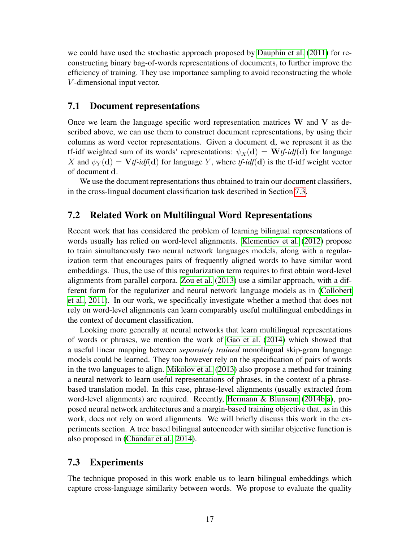we could have used the stochastic approach proposed by [Dauphin et al.](#page-24-9) [\(2011\)](#page-24-9) for reconstructing binary bag-of-words representations of documents, to further improve the efficiency of training. They use importance sampling to avoid reconstructing the whole V -dimensional input vector.

### <span id="page-16-1"></span>7.1 Document representations

Once we learn the language specific word representation matrices  $W$  and  $V$  as described above, we can use them to construct document representations, by using their columns as word vector representations. Given a document d, we represent it as the tf-idf weighted sum of its words' representations:  $\psi_X(d) = W \psi/df(d)$  for language X and  $\psi_Y(\mathbf{d}) = \mathbf{V}$ *tf-idf*( $\mathbf{d}$ ) for language Y, where *tf-idf*( $\mathbf{d}$ ) is the *tf-idf* weight vector of document d.

We use the document representations thus obtained to train our document classifiers, in the cross-lingual document classification task described in Section [7.3.](#page-16-0)

### 7.2 Related Work on Multilingual Word Representations

Recent work that has considered the problem of learning bilingual representations of words usually has relied on word-level alignments. [Klementiev et al.](#page-25-0) [\(2012\)](#page-25-0) propose to train simultaneously two neural network languages models, along with a regularization term that encourages pairs of frequently aligned words to have similar word embeddings. Thus, the use of this regularization term requires to first obtain word-level alignments from parallel corpora. [Zou et al.](#page-26-7) [\(2013\)](#page-26-7) use a similar approach, with a different form for the regularizer and neural network language models as in [\(Collobert](#page-24-10) [et al., 2011\)](#page-24-10). In our work, we specifically investigate whether a method that does not rely on word-level alignments can learn comparably useful multilingual embeddings in the context of document classification.

Looking more generally at neural networks that learn multilingual representations of words or phrases, we mention the work of [Gao et al.](#page-24-11) [\(2014\)](#page-24-11) which showed that a useful linear mapping between *separately trained* monolingual skip-gram language models could be learned. They too however rely on the specification of pairs of words in the two languages to align. [Mikolov et al.](#page-25-9) [\(2013\)](#page-25-9) also propose a method for training a neural network to learn useful representations of phrases, in the context of a phrasebased translation model. In this case, phrase-level alignments (usually extracted from word-level alignments) are required. Recently, [Hermann & Blunsom](#page-25-1) [\(2014b,](#page-25-1)[a\)](#page-25-10), proposed neural network architectures and a margin-based training objective that, as in this work, does not rely on word alignments. We will briefly discuss this work in the experiments section. A tree based bilingual autoencoder with similar objective function is also proposed in [\(Chandar et al., 2014\)](#page-24-1).

### <span id="page-16-0"></span>7.3 Experiments

The technique proposed in this work enable us to learn bilingual embeddings which capture cross-language similarity between words. We propose to evaluate the quality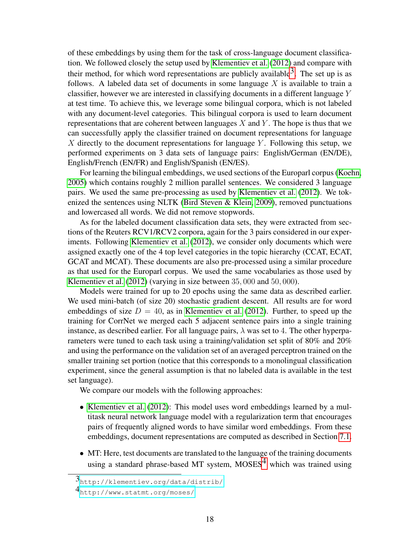of these embeddings by using them for the task of cross-language document classification. We followed closely the setup used by [Klementiev et al.](#page-25-0) [\(2012\)](#page-25-0) and compare with their method, for which word representations are publicly available  $3$ . The set up is as follows. A labeled data set of documents in some language  $X$  is available to train a classifier, however we are interested in classifying documents in a different language Y at test time. To achieve this, we leverage some bilingual corpora, which is not labeled with any document-level categories. This bilingual corpora is used to learn document representations that are coherent between languages  $X$  and  $Y$ . The hope is thus that we can successfully apply the classifier trained on document representations for language X directly to the document representations for language  $Y$ . Following this setup, we performed experiments on 3 data sets of language pairs: English/German (EN/DE), English/French (EN/FR) and English/Spanish (EN/ES).

For learning the bilingual embeddings, we used sections of the Europarl corpus [\(Koehn,](#page-25-11) [2005\)](#page-25-11) which contains roughly 2 million parallel sentences. We considered 3 language pairs. We used the same pre-processing as used by [Klementiev et al.](#page-25-0) [\(2012\)](#page-25-0). We tokenized the sentences using NLTK [\(Bird Steven & Klein, 2009\)](#page-24-12), removed punctuations and lowercased all words. We did not remove stopwords.

As for the labeled document classification data sets, they were extracted from sections of the Reuters RCV1/RCV2 corpora, again for the 3 pairs considered in our experiments. Following [Klementiev et al.](#page-25-0) [\(2012\)](#page-25-0), we consider only documents which were assigned exactly one of the 4 top level categories in the topic hierarchy (CCAT, ECAT, GCAT and MCAT). These documents are also pre-processed using a similar procedure as that used for the Europarl corpus. We used the same vocabularies as those used by [Klementiev et al.](#page-25-0) [\(2012\)](#page-25-0) (varying in size between 35, 000 and 50, 000).

Models were trained for up to 20 epochs using the same data as described earlier. We used mini-batch (of size 20) stochastic gradient descent. All results are for word embeddings of size  $D = 40$ , as in [Klementiev et al.](#page-25-0) [\(2012\)](#page-25-0). Further, to speed up the training for CorrNet we merged each 5 adjacent sentence pairs into a single training instance, as described earlier. For all language pairs,  $\lambda$  was set to 4. The other hyperparameters were tuned to each task using a training/validation set split of 80% and 20% and using the performance on the validation set of an averaged perceptron trained on the smaller training set portion (notice that this corresponds to a monolingual classification experiment, since the general assumption is that no labeled data is available in the test set language).

We compare our models with the following approaches:

- [Klementiev et al.](#page-25-0) [\(2012\)](#page-25-0): This model uses word embeddings learned by a multitask neural network language model with a regularization term that encourages pairs of frequently aligned words to have similar word embeddings. From these embeddings, document representations are computed as described in Section [7.1.](#page-16-1)
- MT: Here, test documents are translated to the language of the training documents using a standard phrase-based MT system,  $MOSES<sup>4</sup>$  which was trained using

<span id="page-17-0"></span><sup>3</sup><http://klementiev.org/data/distrib/>

<span id="page-17-1"></span><sup>4</sup><http://www.statmt.org/moses/>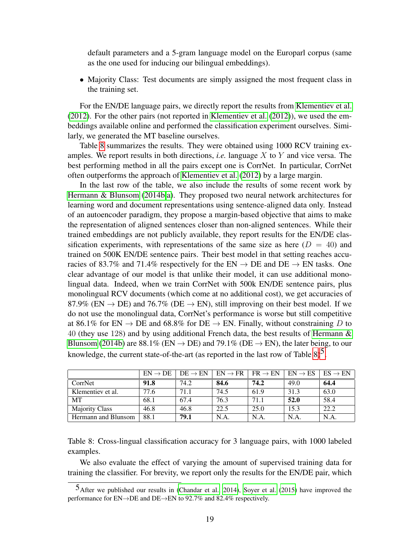default parameters and a 5-gram language model on the Europarl corpus (same as the one used for inducing our bilingual embeddings).

• Majority Class: Test documents are simply assigned the most frequent class in the training set.

For the EN/DE language pairs, we directly report the results from [Klementiev et al.](#page-25-0) [\(2012\)](#page-25-0). For the other pairs (not reported in [Klementiev et al.](#page-25-0) [\(2012\)](#page-25-0)), we used the embeddings available online and performed the classification experiment ourselves. Similarly, we generated the MT baseline ourselves.

Table [8](#page-18-0) summarizes the results. They were obtained using 1000 RCV training examples. We report results in both directions, *i.e.* language X to Y and vice versa. The best performing method in all the pairs except one is CorrNet. In particular, CorrNet often outperforms the approach of [Klementiev et al.](#page-25-0) [\(2012\)](#page-25-0) by a large margin.

In the last row of the table, we also include the results of some recent work by [Hermann & Blunsom](#page-25-1) [\(2014b,](#page-25-1)[a\)](#page-25-10). They proposed two neural network architectures for learning word and document representations using sentence-aligned data only. Instead of an autoencoder paradigm, they propose a margin-based objective that aims to make the representation of aligned sentences closer than non-aligned sentences. While their trained embeddings are not publicly available, they report results for the EN/DE classification experiments, with representations of the same size as here  $(D = 40)$  and trained on 500K EN/DE sentence pairs. Their best model in that setting reaches accuracies of 83.7% and 71.4% respectively for the  $EN \rightarrow DE$  and  $DE \rightarrow EN$  tasks. One clear advantage of our model is that unlike their model, it can use additional monolingual data. Indeed, when we train CorrNet with 500k EN/DE sentence pairs, plus monolingual RCV documents (which come at no additional cost), we get accuracies of 87.9% (EN  $\rightarrow$  DE) and 76.7% (DE  $\rightarrow$  EN), still improving on their best model. If we do not use the monolingual data, CorrNet's performance is worse but still competitive at 86.1% for EN  $\rightarrow$  DE and 68.8% for DE  $\rightarrow$  EN. Finally, without constraining D to 40 (they use 128) and by using additional French data, the best results of [Hermann &](#page-25-1) [Blunsom](#page-25-1) [\(2014b\)](#page-25-1) are 88.1% (EN  $\rightarrow$  DE) and 79.1% (DE  $\rightarrow$  EN), the later being, to our knowledge, the current state-of-the-art (as reported in the last row of Table  $8)^5$ .

|                       | $EN \rightarrow DE$ | $DE \rightarrow EN$ | $EN \rightarrow FR$ | $FR \rightarrow EN$ | $EN \rightarrow ES$ | $ES \rightarrow EN$ |
|-----------------------|---------------------|---------------------|---------------------|---------------------|---------------------|---------------------|
| CorrNet               | 91.8                | 74.2                | 84.6                | 74.2                | 49.0                | 64.4                |
| Klementiev et al.     | 77.6                | 71.1                | 74.5                | 61.9                | 31.3                | 63.0                |
| <b>MT</b>             | 68.1                | 67.4                | 76.3                | 71.1                | 52.0                | 58.4                |
| <b>Majority Class</b> | 46.8                | 46.8                | 22.5                | 25.0                | 15.3                | 22.2                |
| Hermann and Blunsom   | 88.1                | 79.1                | N.A                 | N.A                 | N.A.                | N.A.                |

<span id="page-18-0"></span>Table 8: Cross-lingual classification accuracy for 3 language pairs, with 1000 labeled examples.

We also evaluate the effect of varying the amount of supervised training data for training the classifier. For brevity, we report only the results for the EN/DE pair, which

<span id="page-18-1"></span> $5$ After we published our results in [\(Chandar et al., 2014\)](#page-24-1), [Soyer et al.](#page-26-8) [\(2015\)](#page-26-8) have improved the performance for EN→DE and DE→EN to 92.7% and 82.4% respectively.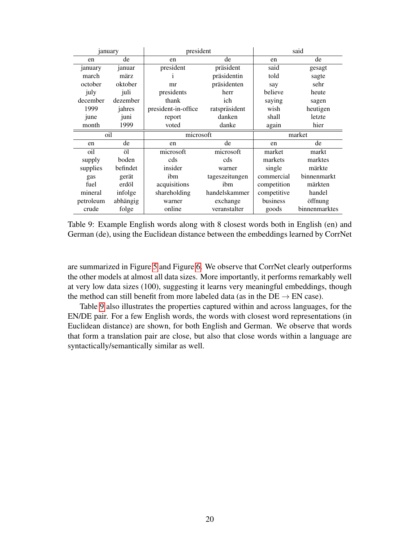<span id="page-19-0"></span>

| january   |          |                     | said<br>president |             |             |
|-----------|----------|---------------------|-------------------|-------------|-------------|
| en        | de       | de<br>en            |                   | en          | de          |
| january   | januar   | president           | präsident         | said        | gesagt      |
| march     | märz     |                     | präsidentin       | told        | sagte       |
| october   | oktober  | mr                  | präsidenten       | say         | sehr        |
| july      | juli     | presidents          | herr              | believe     | heute       |
| december  | dezember | thank               | ich               | saying      | sagen       |
| 1999      | jahres   | president-in-office | ratspräsident     | wish        | heutigen    |
| june      | juni     | report              | danken            | shall       | letzte      |
| month     | 1999     | voted               | danke             | again       | hier        |
| oil       |          |                     |                   |             |             |
|           |          | microsoft           |                   |             | market      |
| en        | de       | en                  | de                | en          | de          |
| oil       | öl       | microsoft           | microsoft         | market      | markt       |
| supply    | boden    | cds                 | cds               | markets     | marktes     |
| supplies  | befindet | insider             | warner            | single      | märkte      |
| gas       | gerät    | ibm                 | tageszeitungen    | commercial  | binnenmarkt |
| fuel      | erdöl    | acquisitions        | ibm               | competition | märkten     |
| mineral   | infolge  | shareholding        | handelskammer     | competitive | handel      |
| petroleum | abhängig | warner              | exchange          | business    | öffnung     |

Table 9: Example English words along with 8 closest words both in English (en) and German (de), using the Euclidean distance between the embeddings learned by CorrNet

are summarized in Figure [5](#page-20-0) and Figure [6.](#page-20-1) We observe that CorrNet clearly outperforms the other models at almost all data sizes. More importantly, it performs remarkably well at very low data sizes (100), suggesting it learns very meaningful embeddings, though the method can still benefit from more labeled data (as in the  $DE \rightarrow EN$  case).

Table [9](#page-19-0) also illustrates the properties captured within and across languages, for the EN/DE pair. For a few English words, the words with closest word representations (in Euclidean distance) are shown, for both English and German. We observe that words that form a translation pair are close, but also that close words within a language are syntactically/semantically similar as well.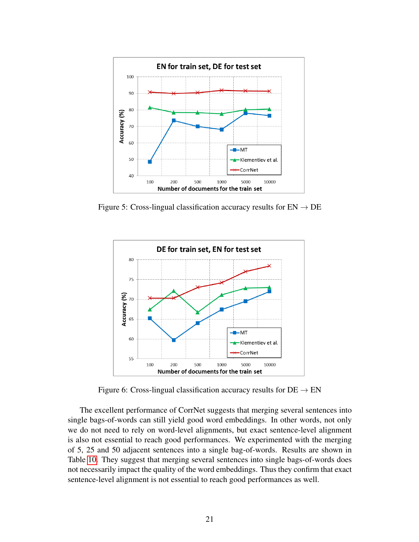

Figure 5: Cross-lingual classification accuracy results for  $EN \rightarrow DE$ 

<span id="page-20-0"></span>

<span id="page-20-1"></span>Figure 6: Cross-lingual classification accuracy results for  $DE \rightarrow EN$ 

The excellent performance of CorrNet suggests that merging several sentences into single bags-of-words can still yield good word embeddings. In other words, not only we do not need to rely on word-level alignments, but exact sentence-level alignment is also not essential to reach good performances. We experimented with the merging of 5, 25 and 50 adjacent sentences into a single bag-of-words. Results are shown in Table [10.](#page-21-1) They suggest that merging several sentences into single bags-of-words does not necessarily impact the quality of the word embeddings. Thus they confirm that exact sentence-level alignment is not essential to reach good performances as well.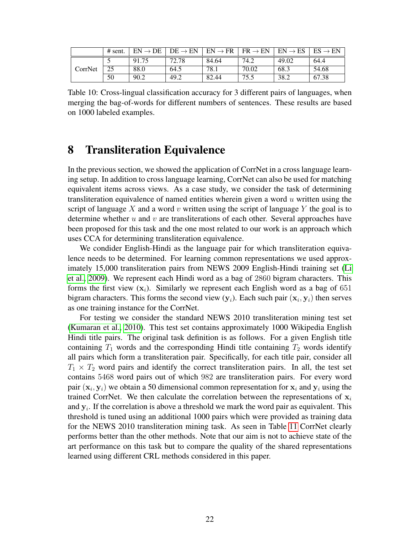<span id="page-21-1"></span>

|         | $#$ sent. | $FN \rightarrow$<br>DE | $DE \rightarrow EN$ | $EN \rightarrow FR$ | $FR \rightarrow EN$ | $EN \rightarrow ES$ | $ES \rightarrow EN$ |
|---------|-----------|------------------------|---------------------|---------------------|---------------------|---------------------|---------------------|
|         | - 1       | 91.75                  | 72.78               | 84.64               | 74.2                | 49.02               | 64.4                |
| CorrNet | 25        | 88.0                   | 64.5                | 78.1                | 70.02               | 68.3                | 54.68               |
|         | 50        | 90.2                   | 49.2                | 82.44               | 75.5                | 38.2                | 67.38               |

Table 10: Cross-lingual classification accuracy for 3 different pairs of languages, when merging the bag-of-words for different numbers of sentences. These results are based on 1000 labeled examples.

# <span id="page-21-0"></span>8 Transliteration Equivalence

In the previous section, we showed the application of CorrNet in a cross language learning setup. In addition to cross language learning, CorrNet can also be used for matching equivalent items across views. As a case study, we consider the task of determining transliteration equivalence of named entities wherein given a word  $u$  written using the script of language X and a word v written using the script of language Y the goal is to determine whether  $u$  and  $v$  are transliterations of each other. Several approaches have been proposed for this task and the one most related to our work is an approach which uses CCA for determining transliteration equivalence.

We condider English-Hindi as the language pair for which transliteration equivalence needs to be determined. For learning common representations we used approximately 15,000 transliteration pairs from NEWS 2009 English-Hindi training set [\(Li](#page-25-12) [et al., 2009\)](#page-25-12). We represent each Hindi word as a bag of 2860 bigram characters. This forms the first view  $(x_i)$ . Similarly we represent each English word as a bag of 651 bigram characters. This forms the second view  $(y_i)$ . Each such pair  $(x_i, y_i)$  then serves as one training instance for the CorrNet.

For testing we consider the standard NEWS 2010 transliteration mining test set [\(Kumaran et al., 2010\)](#page-25-13). This test set contains approximately 1000 Wikipedia English Hindi title pairs. The original task definition is as follows. For a given English title containing  $T_1$  words and the corresponding Hindi title containing  $T_2$  words identify all pairs which form a transliteration pair. Specifically, for each title pair, consider all  $T_1 \times T_2$  word pairs and identify the correct transliteration pairs. In all, the test set contains 5468 word pairs out of which 982 are transliteration pairs. For every word pair  $(x_i, y_i)$  we obtain a 50 dimensional common representation for  $x_i$  and  $y_i$  using the trained CorrNet. We then calculate the correlation between the representations of  $x_i$ and  $y_i$ . If the correlation is above a threshold we mark the word pair as equivalent. This threshold is tuned using an additional 1000 pairs which were provided as training data for the NEWS 2010 transliteration mining task. As seen in Table [11](#page-22-1) CorrNet clearly performs better than the other methods. Note that our aim is not to achieve state of the art performance on this task but to compare the quality of the shared representations learned using different CRL methods considered in this paper.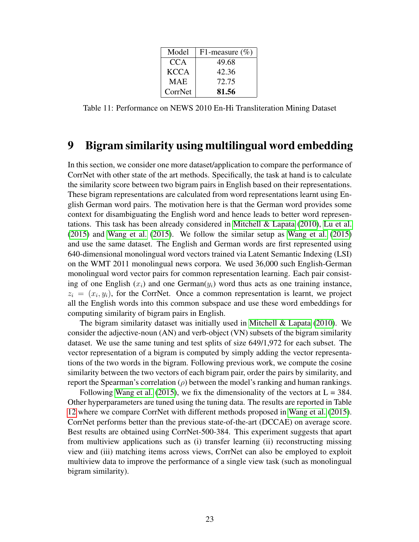<span id="page-22-1"></span>

| Model       | F1-measure $(\% )$ |
|-------------|--------------------|
| CCA         | 49.68              |
| <b>KCCA</b> | 42.36              |
| <b>MAE</b>  | 72.75              |
| CorrNet     | 81.56              |

Table 11: Performance on NEWS 2010 En-Hi Transliteration Mining Dataset

## <span id="page-22-0"></span>9 Bigram similarity using multilingual word embedding

In this section, we consider one more dataset/application to compare the performance of CorrNet with other state of the art methods. Specifically, the task at hand is to calculate the similarity score between two bigram pairs in English based on their representations. These bigram representations are calculated from word representations learnt using English German word pairs. The motivation here is that the German word provides some context for disambiguating the English word and hence leads to better word representations. This task has been already considered in [Mitchell & Lapata](#page-26-9) [\(2010\)](#page-26-9), [Lu et al.](#page-25-14) [\(2015\)](#page-25-14) and [Wang et al.](#page-26-1) [\(2015\)](#page-26-1). We follow the similar setup as [Wang et al.](#page-26-1) [\(2015\)](#page-26-1) and use the same dataset. The English and German words are first represented using 640-dimensional monolingual word vectors trained via Latent Semantic Indexing (LSI) on the WMT 2011 monolingual news corpora. We used 36,000 such English-German monolingual word vector pairs for common representation learning. Each pair consisting of one English  $(x_i)$  and one German $(y_i)$  word thus acts as one training instance,  $z_i = (x_i, y_i)$ , for the CorrNet. Once a common representation is learnt, we project all the English words into this common subspace and use these word embeddings for computing similarity of bigram pairs in English.

The bigram similarity dataset was initially used in [Mitchell & Lapata](#page-26-9) [\(2010\)](#page-26-9). We consider the adjective-noun (AN) and verb-object (VN) subsets of the bigram similarity dataset. We use the same tuning and test splits of size 649/1,972 for each subset. The vector representation of a bigram is computed by simply adding the vector representations of the two words in the bigram. Following previous work, we compute the cosine similarity between the two vectors of each bigram pair, order the pairs by similarity, and report the Spearman's correlation  $(\rho)$  between the model's ranking and human rankings.

Following [Wang et al.](#page-26-1) [\(2015\)](#page-26-1), we fix the dimensionality of the vectors at  $L = 384$ . Other hyperparameters are tuned using the tuning data. The results are reported in Table [12](#page-23-1) where we compare CorrNet with different methods proposed in [Wang et al.](#page-26-1) [\(2015\)](#page-26-1). CorrNet performs better than the previous state-of-the-art (DCCAE) on average score. Best results are obtained using CorrNet-500-384. This experiment suggests that apart from multiview applications such as (i) transfer learning (ii) reconstructing missing view and (iii) matching items across views, CorrNet can also be employed to exploit multiview data to improve the performance of a single view task (such as monolingual bigram similarity).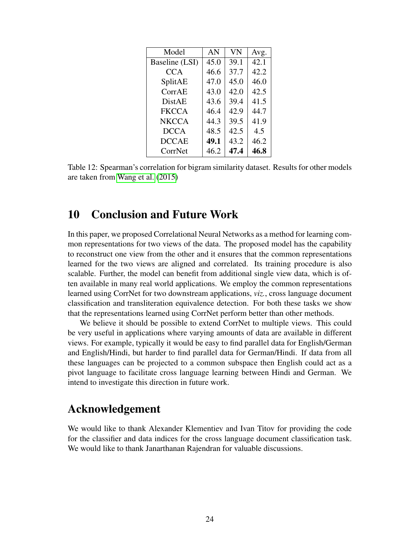<span id="page-23-1"></span>

| Model          | AN   | <b>VN</b> | Avg. |
|----------------|------|-----------|------|
| Baseline (LSI) | 45.0 | 39.1      | 42.1 |
| <b>CCA</b>     | 46.6 | 37.7      | 42.2 |
| SplitAE        | 47.0 | 45.0      | 46.0 |
| CorrAE         | 43.0 | 42.0      | 42.5 |
| <b>DistAE</b>  | 43.6 | 39.4      | 41.5 |
| <b>FKCCA</b>   | 46.4 | 42.9      | 44.7 |
| <b>NKCCA</b>   | 44.3 | 39.5      | 41.9 |
| <b>DCCA</b>    | 48.5 | 42.5      | 4.5  |
| <b>DCCAE</b>   | 49.1 | 43.2      | 46.2 |
| CorrNet        | 46.2 | 47.4      | 46.8 |

Table 12: Spearman's correlation for bigram similarity dataset. Results for other models are taken from [Wang et al.](#page-26-1) [\(2015\)](#page-26-1)

# <span id="page-23-0"></span>10 Conclusion and Future Work

In this paper, we proposed Correlational Neural Networks as a method for learning common representations for two views of the data. The proposed model has the capability to reconstruct one view from the other and it ensures that the common representations learned for the two views are aligned and correlated. Its training procedure is also scalable. Further, the model can benefit from additional single view data, which is often available in many real world applications. We employ the common representations learned using CorrNet for two downstream applications, *viz.*, cross language document classification and transliteration equivalence detection. For both these tasks we show that the representations learned using CorrNet perform better than other methods.

We believe it should be possible to extend CorrNet to multiple views. This could be very useful in applications where varying amounts of data are available in different views. For example, typically it would be easy to find parallel data for English/German and English/Hindi, but harder to find parallel data for German/Hindi. If data from all these languages can be projected to a common subspace then English could act as a pivot language to facilitate cross language learning between Hindi and German. We intend to investigate this direction in future work.

## Acknowledgement

We would like to thank Alexander Klementiev and Ivan Titov for providing the code for the classifier and data indices for the cross language document classification task. We would like to thank Janarthanan Rajendran for valuable discussions.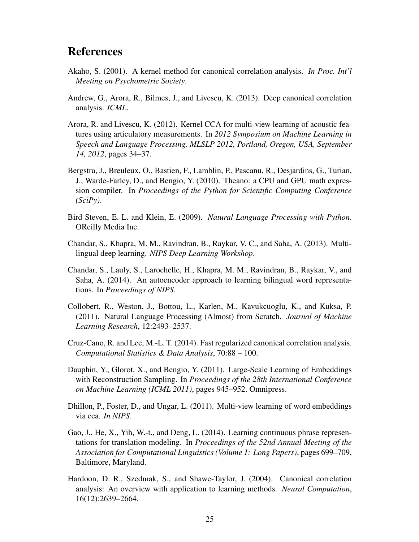# References

- <span id="page-24-5"></span>Akaho, S. (2001). A kernel method for canonical correlation analysis. *In Proc. Int'l Meeting on Psychometric Society*.
- <span id="page-24-2"></span>Andrew, G., Arora, R., Bilmes, J., and Livescu, K. (2013). Deep canonical correlation analysis. *ICML*.
- <span id="page-24-7"></span>Arora, R. and Livescu, K. (2012). Kernel CCA for multi-view learning of acoustic features using articulatory measurements. In *2012 Symposium on Machine Learning in Speech and Language Processing, MLSLP 2012, Portland, Oregon, USA, September 14, 2012*, pages 34–37.
- <span id="page-24-8"></span>Bergstra, J., Breuleux, O., Bastien, F., Lamblin, P., Pascanu, R., Desjardins, G., Turian, J., Warde-Farley, D., and Bengio, Y. (2010). Theano: a CPU and GPU math expression compiler. In *Proceedings of the Python for Scientific Computing Conference (SciPy)*.
- <span id="page-24-12"></span>Bird Steven, E. L. and Klein, E. (2009). *Natural Language Processing with Python*. OReilly Media Inc.
- <span id="page-24-0"></span>Chandar, S., Khapra, M. M., Ravindran, B., Raykar, V. C., and Saha, A. (2013). Multilingual deep learning. *NIPS Deep Learning Workshop*.
- <span id="page-24-1"></span>Chandar, S., Lauly, S., Larochelle, H., Khapra, M. M., Ravindran, B., Raykar, V., and Saha, A. (2014). An autoencoder approach to learning bilingual word representations. In *Proceedings of NIPS*.
- <span id="page-24-10"></span>Collobert, R., Weston, J., Bottou, L., Karlen, M., Kavukcuoglu, K., and Kuksa, P. (2011). Natural Language Processing (Almost) from Scratch. *Journal of Machine Learning Research*, 12:2493–2537.
- <span id="page-24-4"></span>Cruz-Cano, R. and Lee, M.-L. T. (2014). Fast regularized canonical correlation analysis. *Computational Statistics & Data Analysis*, 70:88 – 100.
- <span id="page-24-9"></span>Dauphin, Y., Glorot, X., and Bengio, Y. (2011). Large-Scale Learning of Embeddings with Reconstruction Sampling. In *Proceedings of the 28th International Conference on Machine Learning (ICML 2011)*, pages 945–952. Omnipress.
- <span id="page-24-3"></span>Dhillon, P., Foster, D., and Ungar, L. (2011). Multi-view learning of word embeddings via cca. *In NIPS*.
- <span id="page-24-11"></span>Gao, J., He, X., Yih, W.-t., and Deng, L. (2014). Learning continuous phrase representations for translation modeling. In *Proceedings of the 52nd Annual Meeting of the Association for Computational Linguistics (Volume 1: Long Papers)*, pages 699–709, Baltimore, Maryland.
- <span id="page-24-6"></span>Hardoon, D. R., Szedmak, S., and Shawe-Taylor, J. (2004). Canonical correlation analysis: An overview with application to learning methods. *Neural Computation*, 16(12):2639–2664.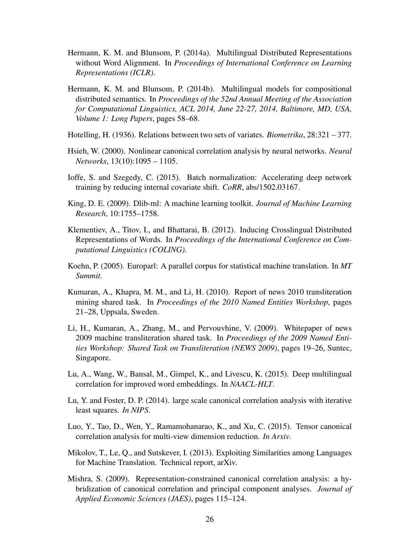- <span id="page-25-10"></span>Hermann, K. M. and Blunsom, P. (2014a). Multilingual Distributed Representations without Word Alignment. In *Proceedings of International Conference on Learning Representations (ICLR)*.
- <span id="page-25-1"></span>Hermann, K. M. and Blunsom, P. (2014b). Multilingual models for compositional distributed semantics. In *Proceedings of the 52nd Annual Meeting of the Association for Computational Linguistics, ACL 2014, June 22-27, 2014, Baltimore, MD, USA, Volume 1: Long Papers*, pages 58–68.
- <span id="page-25-2"></span>Hotelling, H. (1936). Relations between two sets of variates. *Biometrika*, 28:321 – 377.
- <span id="page-25-7"></span>Hsieh, W. (2000). Nonlinear canonical correlation analysis by neural networks. *Neural Networks*, 13(10):1095 – 1105.
- <span id="page-25-4"></span>Ioffe, S. and Szegedy, C. (2015). Batch normalization: Accelerating deep network training by reducing internal covariate shift. *CoRR*, abs/1502.03167.
- <span id="page-25-8"></span>King, D. E. (2009). Dlib-ml: A machine learning toolkit. *Journal of Machine Learning Research*, 10:1755–1758.
- <span id="page-25-0"></span>Klementiev, A., Titov, I., and Bhattarai, B. (2012). Inducing Crosslingual Distributed Representations of Words. In *Proceedings of the International Conference on Computational Linguistics (COLING)*.
- <span id="page-25-11"></span>Koehn, P. (2005). Europarl: A parallel corpus for statistical machine translation. In *MT Summit*.
- <span id="page-25-13"></span>Kumaran, A., Khapra, M. M., and Li, H. (2010). Report of news 2010 transliteration mining shared task. In *Proceedings of the 2010 Named Entities Workshop*, pages 21–28, Uppsala, Sweden.
- <span id="page-25-12"></span>Li, H., Kumaran, A., Zhang, M., and Pervouvhine, V. (2009). Whitepaper of news 2009 machine transliteration shared task. In *Proceedings of the 2009 Named Entities Workshop: Shared Task on Transliteration (NEWS 2009)*, pages 19–26, Suntec, Singapore.
- <span id="page-25-14"></span>Lu, A., Wang, W., Bansal, M., Gimpel, K., and Livescu, K. (2015). Deep multilingual correlation for improved word embeddings. In *NAACL-HLT*.
- <span id="page-25-3"></span>Lu, Y. and Foster, D. P. (2014). large scale canonical correlation analysis with iterative least squares. *In NIPS*.
- <span id="page-25-5"></span>Luo, Y., Tao, D., Wen, Y., Ramamohanarao, K., and Xu, C. (2015). Tensor canonical correlation analysis for multi-view dimension reduction. *In Arxiv*.
- <span id="page-25-9"></span>Mikolov, T., Le, Q., and Sutskever, I. (2013). Exploiting Similarities among Languages for Machine Translation. Technical report, arXiv.
- <span id="page-25-6"></span>Mishra, S. (2009). Representation-constrained canonical correlation analysis: a hybridization of canonical correlation and principal component analyses. *Journal of Applied Economic Sciences (JAES)*, pages 115–124.